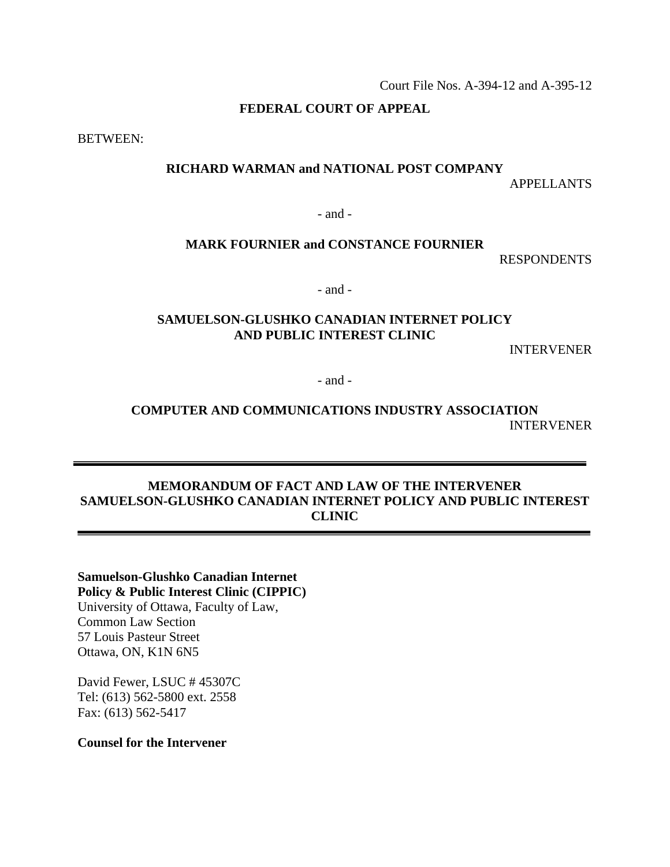Court File Nos. A-394-12 and A-395-12

#### **FEDERAL COURT OF APPEAL**

BETWEEN:

#### **RICHARD WARMAN and NATIONAL POST COMPANY** APPELLANTS

- and -

# **MARK FOURNIER and CONSTANCE FOURNIER**

RESPONDENTS

- and -

## **SAMUELSON-GLUSHKO CANADIAN INTERNET POLICY AND PUBLIC INTEREST CLINIC**

INTERVENER

- and -

# **COMPUTER AND COMMUNICATIONS INDUSTRY ASSOCIATION**  INTERVENER

## **MEMORANDUM OF FACT AND LAW OF THE INTERVENER SAMUELSON-GLUSHKO CANADIAN INTERNET POLICY AND PUBLIC INTEREST CLINIC**

**Samuelson-Glushko Canadian Internet Policy & Public Interest Clinic (CIPPIC)**  University of Ottawa, Faculty of Law, Common Law Section 57 Louis Pasteur Street Ottawa, ON, K1N 6N5

David Fewer, LSUC # 45307C Tel: (613) 562-5800 ext. 2558 Fax: (613) 562-5417

**Counsel for the Intervener**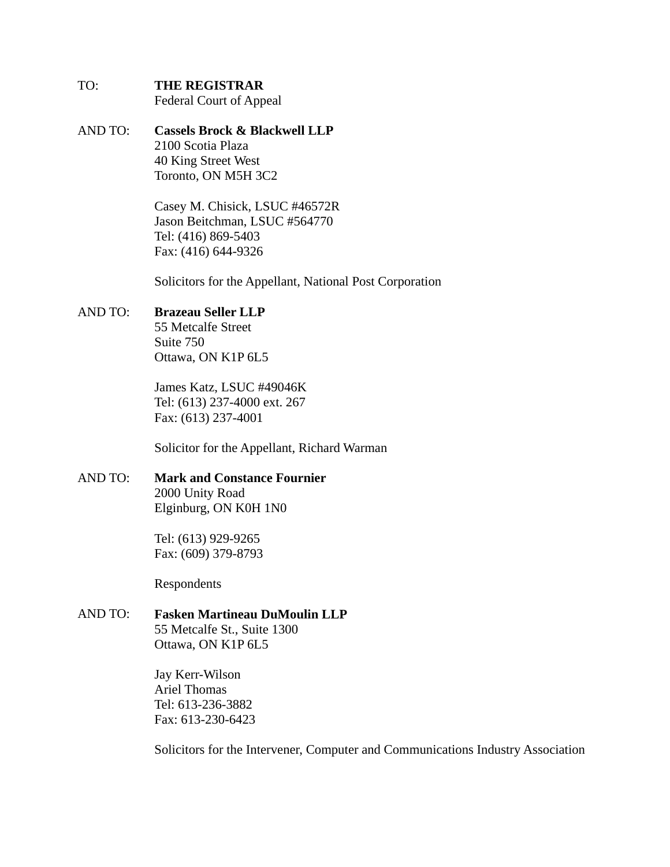#### TO: **THE REGISTRAR**

Federal Court of Appeal

AND TO: **Cassels Brock & Blackwell LLP**  2100 Scotia Plaza 40 King Street West Toronto, ON M5H 3C2

> Casey M. Chisick, LSUC #46572R Jason Beitchman, LSUC #564770 Tel: (416) 869-5403 Fax: (416) 644-9326

Solicitors for the Appellant, National Post Corporation

#### AND TO: **Brazeau Seller LLP**

55 Metcalfe Street Suite 750 Ottawa, ON K1P 6L5

James Katz, LSUC #49046K Tel: (613) 237-4000 ext. 267 Fax: (613) 237-4001

Solicitor for the Appellant, Richard Warman

#### AND TO: **Mark and Constance Fournier**

2000 Unity Road Elginburg, ON K0H 1N0

Tel: (613) 929-9265 Fax: (609) 379-8793

Respondents

## AND TO: **Fasken Martineau DuMoulin LLP**

55 Metcalfe St., Suite 1300 Ottawa, ON K1P 6L5

Jay Kerr-Wilson Ariel Thomas Tel: 613-236-3882 Fax: 613-230-6423

Solicitors for the Intervener, Computer and Communications Industry Association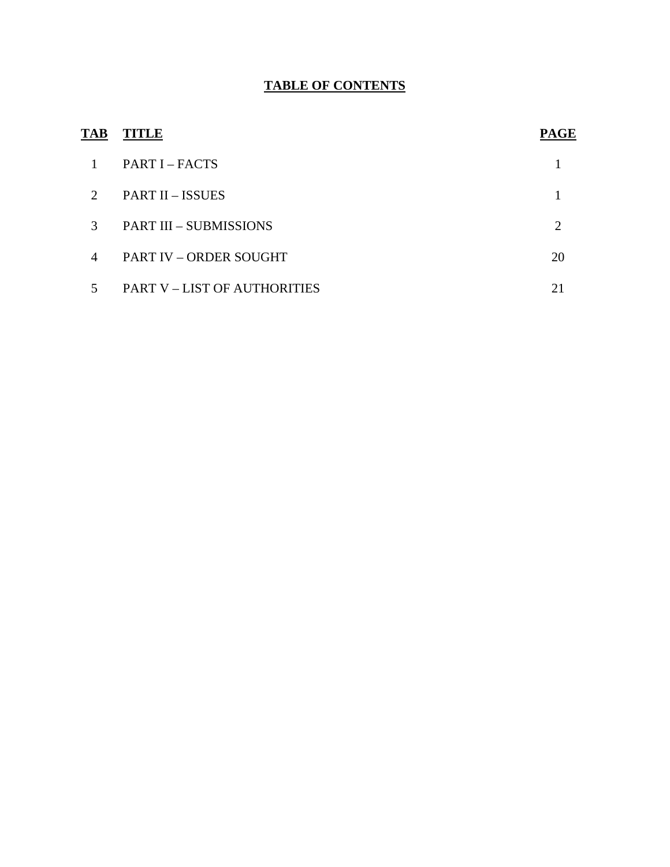## **TABLE OF CONTENTS**

| <b>TAB</b>            | <b>TITLE</b>                        | <b>PAGE</b>                 |
|-----------------------|-------------------------------------|-----------------------------|
|                       | PART I – FACTS                      |                             |
| $\mathcal{D}_{\cdot}$ | <b>PART II - ISSUES</b>             |                             |
| $\mathcal{R}$         | <b>PART III - SUBMISSIONS</b>       | $\mathcal{D}_{\mathcal{L}}$ |
| 4                     | PART IV - ORDER SOUGHT              | 20                          |
|                       | <b>PART V - LIST OF AUTHORITIES</b> | 2.1                         |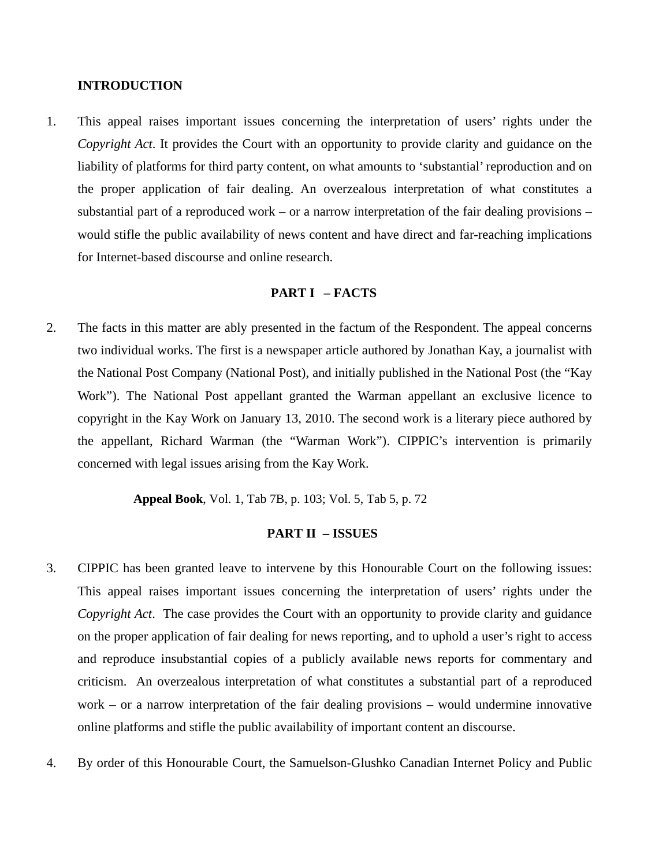#### **INTRODUCTION**

1. This appeal raises important issues concerning the interpretation of users' rights under the *Copyright Act*. It provides the Court with an opportunity to provide clarity and guidance on the liability of platforms for third party content, on what amounts to 'substantial' reproduction and on the proper application of fair dealing. An overzealous interpretation of what constitutes a substantial part of a reproduced work – or a narrow interpretation of the fair dealing provisions – would stifle the public availability of news content and have direct and far-reaching implications for Internet-based discourse and online research.

#### **PART I – FACTS**

2. The facts in this matter are ably presented in the factum of the Respondent. The appeal concerns two individual works. The first is a newspaper article authored by Jonathan Kay, a journalist with the National Post Company (National Post), and initially published in the National Post (the "Kay Work"). The National Post appellant granted the Warman appellant an exclusive licence to copyright in the Kay Work on January 13, 2010. The second work is a literary piece authored by the appellant, Richard Warman (the "Warman Work"). CIPPIC's intervention is primarily concerned with legal issues arising from the Kay Work.

**Appeal Book**, Vol. 1, Tab 7B, p. 103; Vol. 5, Tab 5, p. 72

## **PART II – ISSUES**

- 3. CIPPIC has been granted leave to intervene by this Honourable Court on the following issues: This appeal raises important issues concerning the interpretation of users' rights under the *Copyright Act*. The case provides the Court with an opportunity to provide clarity and guidance on the proper application of fair dealing for news reporting, and to uphold a user's right to access and reproduce insubstantial copies of a publicly available news reports for commentary and criticism. An overzealous interpretation of what constitutes a substantial part of a reproduced work – or a narrow interpretation of the fair dealing provisions – would undermine innovative online platforms and stifle the public availability of important content an discourse.
- 4. By order of this Honourable Court, the Samuelson-Glushko Canadian Internet Policy and Public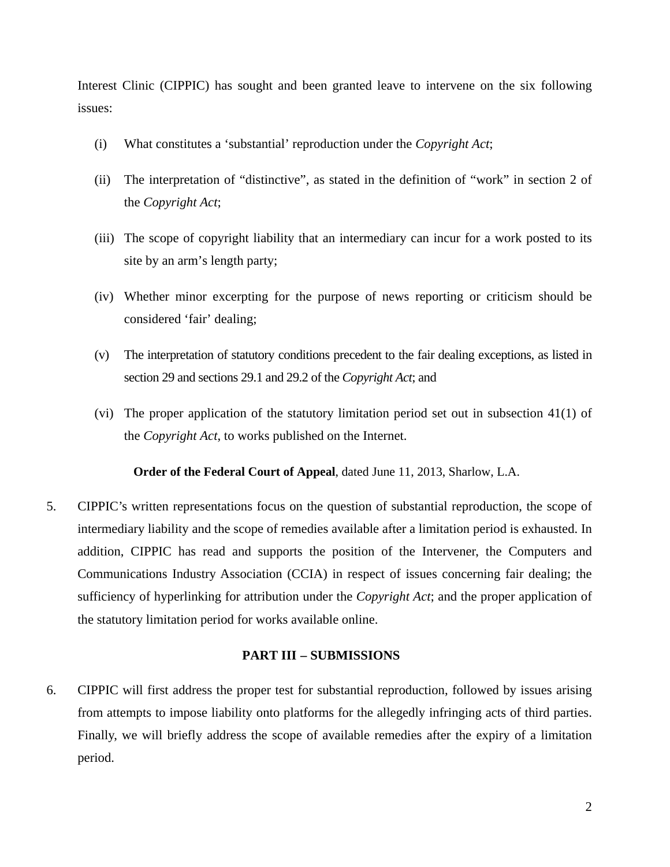Interest Clinic (CIPPIC) has sought and been granted leave to intervene on the six following issues:

- (i) What constitutes a 'substantial' reproduction under the *Copyright Act*;
- (ii) The interpretation of "distinctive", as stated in the definition of "work" in section 2 of the *Copyright Act*;
- (iii) The scope of copyright liability that an intermediary can incur for a work posted to its site by an arm's length party;
- (iv) Whether minor excerpting for the purpose of news reporting or criticism should be considered 'fair' dealing;
- (v) The interpretation of statutory conditions precedent to the fair dealing exceptions, as listed in section 29 and sections 29.1 and 29.2 of the *Copyright Act*; and
- (vi) The proper application of the statutory limitation period set out in subsection 41(1) of the *Copyright Act*, to works published on the Internet.

**Order of the Federal Court of Appeal**, dated June 11, 2013, Sharlow, L.A.

5. CIPPIC's written representations focus on the question of substantial reproduction, the scope of intermediary liability and the scope of remedies available after a limitation period is exhausted. In addition, CIPPIC has read and supports the position of the Intervener, the Computers and Communications Industry Association (CCIA) in respect of issues concerning fair dealing; the sufficiency of hyperlinking for attribution under the *Copyright Act*; and the proper application of the statutory limitation period for works available online.

#### **PART III – SUBMISSIONS**

6. CIPPIC will first address the proper test for substantial reproduction, followed by issues arising from attempts to impose liability onto platforms for the allegedly infringing acts of third parties. Finally, we will briefly address the scope of available remedies after the expiry of a limitation period.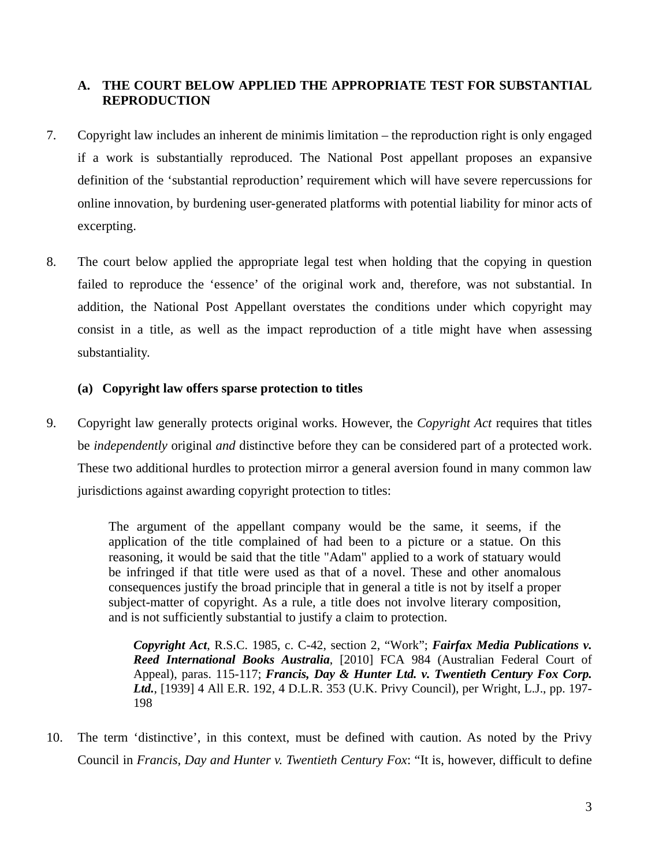# **A. THE COURT BELOW APPLIED THE APPROPRIATE TEST FOR SUBSTANTIAL REPRODUCTION**

- 7. Copyright law includes an inherent de minimis limitation the reproduction right is only engaged if a work is substantially reproduced. The National Post appellant proposes an expansive definition of the 'substantial reproduction' requirement which will have severe repercussions for online innovation, by burdening user-generated platforms with potential liability for minor acts of excerpting.
- 8. The court below applied the appropriate legal test when holding that the copying in question failed to reproduce the 'essence' of the original work and, therefore, was not substantial. In addition, the National Post Appellant overstates the conditions under which copyright may consist in a title, as well as the impact reproduction of a title might have when assessing substantiality.

## **(a) Copyright law offers sparse protection to titles**

9. Copyright law generally protects original works. However, the *Copyright Act* requires that titles be *independently* original *and* distinctive before they can be considered part of a protected work. These two additional hurdles to protection mirror a general aversion found in many common law jurisdictions against awarding copyright protection to titles:

> The argument of the appellant company would be the same, it seems, if the application of the title complained of had been to a picture or a statue. On this reasoning, it would be said that the title "Adam" applied to a work of statuary would be infringed if that title were used as that of a novel. These and other anomalous consequences justify the broad principle that in general a title is not by itself a proper subject-matter of copyright. As a rule, a title does not involve literary composition, and is not sufficiently substantial to justify a claim to protection.

*Copyright Act*, R.S.C. 1985, c. C-42, section 2, "Work"; *Fairfax Media Publications v. Reed International Books Australia*, [2010] FCA 984 (Australian Federal Court of Appeal), paras. 115-117; *Francis, Day & Hunter Ltd. v. Twentieth Century Fox Corp. Ltd.*, [1939] 4 All E.R. 192, 4 D.L.R. 353 (U.K. Privy Council), per Wright, L.J., pp. 197- 198

10. The term 'distinctive', in this context, must be defined with caution. As noted by the Privy Council in *Francis, Day and Hunter v. Twentieth Century Fox*: "It is, however, difficult to define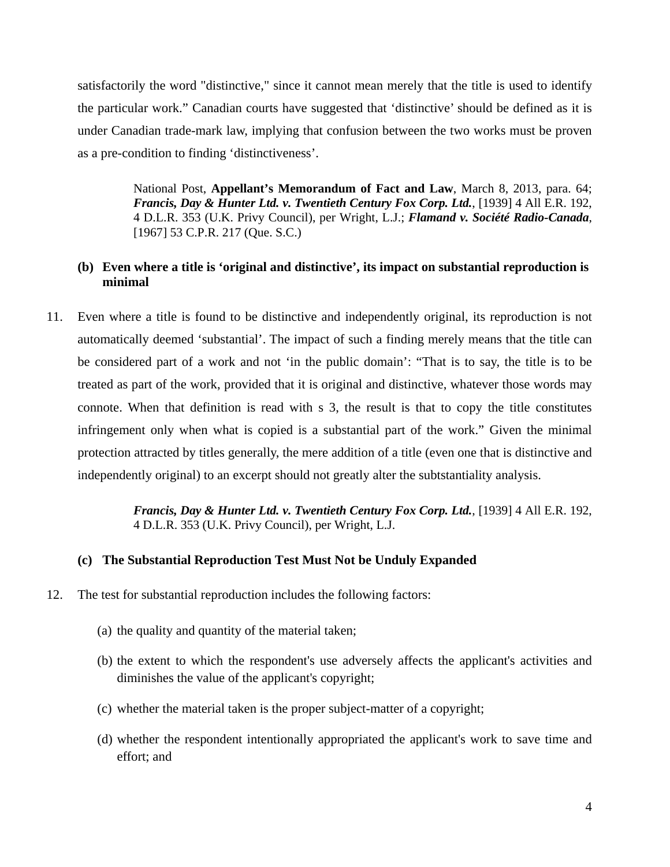satisfactorily the word "distinctive," since it cannot mean merely that the title is used to identify the particular work." Canadian courts have suggested that 'distinctive' should be defined as it is under Canadian trade-mark law, implying that confusion between the two works must be proven as a pre-condition to finding 'distinctiveness'.

> National Post, **Appellant's Memorandum of Fact and Law**, March 8, 2013, para. 64; *Francis, Day & Hunter Ltd. v. Twentieth Century Fox Corp. Ltd.*, [1939] 4 All E.R. 192, 4 D.L.R. 353 (U.K. Privy Council), per Wright, L.J.; *Flamand v. Société Radio-Canada*, [1967] 53 C.P.R. 217 (Que. S.C.)

## **(b) Even where a title is 'original and distinctive', its impact on substantial reproduction is minimal**

11. Even where a title is found to be distinctive and independently original, its reproduction is not automatically deemed 'substantial'. The impact of such a finding merely means that the title can be considered part of a work and not 'in the public domain': "That is to say, the title is to be treated as part of the work, provided that it is original and distinctive, whatever those words may connote. When that definition is read with s 3, the result is that to copy the title constitutes infringement only when what is copied is a substantial part of the work." Given the minimal protection attracted by titles generally, the mere addition of a title (even one that is distinctive and independently original) to an excerpt should not greatly alter the subtstantiality analysis.

> *Francis, Day & Hunter Ltd. v. Twentieth Century Fox Corp. Ltd.*, [1939] 4 All E.R. 192, 4 D.L.R. 353 (U.K. Privy Council), per Wright, L.J.

## **(c) The Substantial Reproduction Test Must Not be Unduly Expanded**

- 12. The test for substantial reproduction includes the following factors:
	- (a) the quality and quantity of the material taken;
	- (b) the extent to which the respondent's use adversely affects the applicant's activities and diminishes the value of the applicant's copyright;
	- (c) whether the material taken is the proper subject-matter of a copyright;
	- (d) whether the respondent intentionally appropriated the applicant's work to save time and effort; and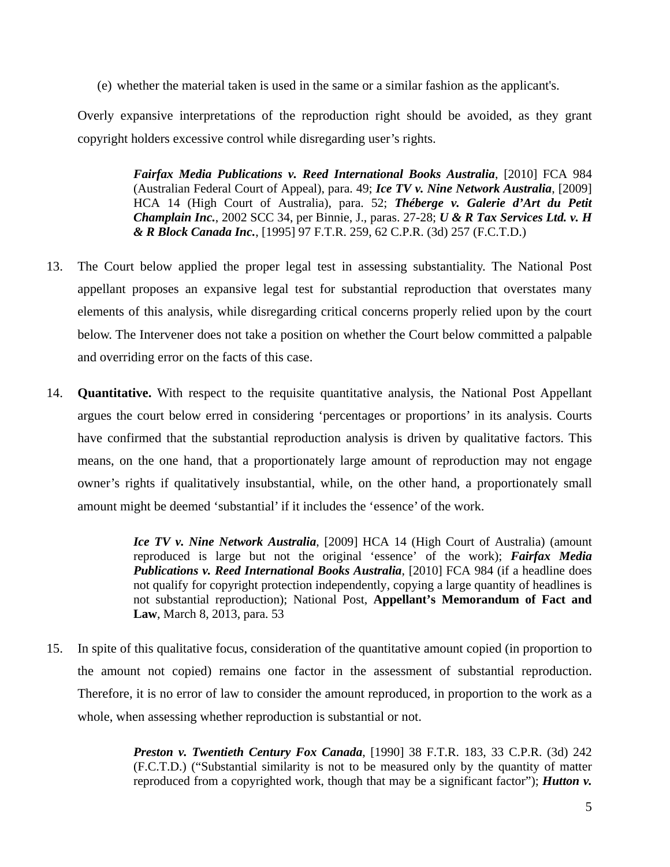(e) whether the material taken is used in the same or a similar fashion as the applicant's.

Overly expansive interpretations of the reproduction right should be avoided, as they grant copyright holders excessive control while disregarding user's rights.

> *Fairfax Media Publications v. Reed International Books Australia*, [2010] FCA 984 (Australian Federal Court of Appeal), para. 49; *Ice TV v. Nine Network Australia*, [2009] HCA 14 (High Court of Australia), para. 52; *Théberge v. Galerie d'Art du Petit Champlain Inc.*, 2002 SCC 34, per Binnie, J., paras. 27-28; *U & R Tax Services Ltd. v. H & R Block Canada Inc.*, [1995] 97 F.T.R. 259, 62 C.P.R. (3d) 257 (F.C.T.D.)

- 13. The Court below applied the proper legal test in assessing substantiality. The National Post appellant proposes an expansive legal test for substantial reproduction that overstates many elements of this analysis, while disregarding critical concerns properly relied upon by the court below. The Intervener does not take a position on whether the Court below committed a palpable and overriding error on the facts of this case.
- 14. **Quantitative.** With respect to the requisite quantitative analysis, the National Post Appellant argues the court below erred in considering 'percentages or proportions' in its analysis. Courts have confirmed that the substantial reproduction analysis is driven by qualitative factors. This means, on the one hand, that a proportionately large amount of reproduction may not engage owner's rights if qualitatively insubstantial, while, on the other hand, a proportionately small amount might be deemed 'substantial' if it includes the 'essence' of the work.

*Ice TV v. Nine Network Australia*, [2009] HCA 14 (High Court of Australia) (amount reproduced is large but not the original 'essence' of the work); *Fairfax Media Publications v. Reed International Books Australia*, [2010] FCA 984 (if a headline does not qualify for copyright protection independently, copying a large quantity of headlines is not substantial reproduction); National Post, **Appellant's Memorandum of Fact and Law**, March 8, 2013, para. 53

15. In spite of this qualitative focus, consideration of the quantitative amount copied (in proportion to the amount not copied) remains one factor in the assessment of substantial reproduction. Therefore, it is no error of law to consider the amount reproduced, in proportion to the work as a whole, when assessing whether reproduction is substantial or not.

> *Preston v. Twentieth Century Fox Canada*, [1990] 38 F.T.R. 183, 33 C.P.R. (3d) 242 (F.C.T.D.) ("Substantial similarity is not to be measured only by the quantity of matter reproduced from a copyrighted work, though that may be a significant factor"); *Hutton v.*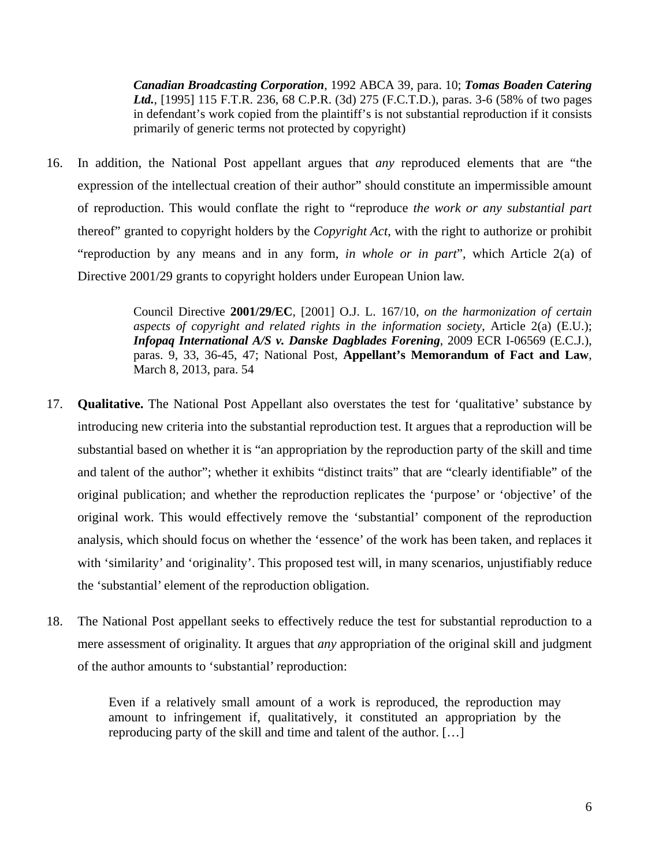*Canadian Broadcasting Corporation*, 1992 ABCA 39, para. 10; *Tomas Boaden Catering Ltd.*, [1995] 115 F.T.R. 236, 68 C.P.R. (3d) 275 (F.C.T.D.), paras. 3-6 (58% of two pages in defendant's work copied from the plaintiff's is not substantial reproduction if it consists primarily of generic terms not protected by copyright)

16. In addition, the National Post appellant argues that *any* reproduced elements that are "the expression of the intellectual creation of their author" should constitute an impermissible amount of reproduction. This would conflate the right to "reproduce *the work or any substantial part* thereof" granted to copyright holders by the *Copyright Act*, with the right to authorize or prohibit "reproduction by any means and in any form, *in whole or in part*", which Article 2(a) of Directive 2001/29 grants to copyright holders under European Union law.

> Council Directive **2001/29/EC**, [2001] O.J. L. 167/10, *on the harmonization of certain aspects of copyright and related rights in the information society*, Article 2(a) (E.U.); *Infopaq International A/S v. Danske Dagblades Forening*, 2009 ECR I-06569 (E.C.J.), paras. 9, 33, 36-45, 47; National Post, **Appellant's Memorandum of Fact and Law**, March 8, 2013, para. 54

- 17. **Qualitative.** The National Post Appellant also overstates the test for 'qualitative' substance by introducing new criteria into the substantial reproduction test. It argues that a reproduction will be substantial based on whether it is "an appropriation by the reproduction party of the skill and time and talent of the author"; whether it exhibits "distinct traits" that are "clearly identifiable" of the original publication; and whether the reproduction replicates the 'purpose' or 'objective' of the original work. This would effectively remove the 'substantial' component of the reproduction analysis, which should focus on whether the 'essence' of the work has been taken, and replaces it with 'similarity' and 'originality'. This proposed test will, in many scenarios, unjustifiably reduce the 'substantial' element of the reproduction obligation.
- 18. The National Post appellant seeks to effectively reduce the test for substantial reproduction to a mere assessment of originality. It argues that *any* appropriation of the original skill and judgment of the author amounts to 'substantial' reproduction:

Even if a relatively small amount of a work is reproduced, the reproduction may amount to infringement if, qualitatively, it constituted an appropriation by the reproducing party of the skill and time and talent of the author. […]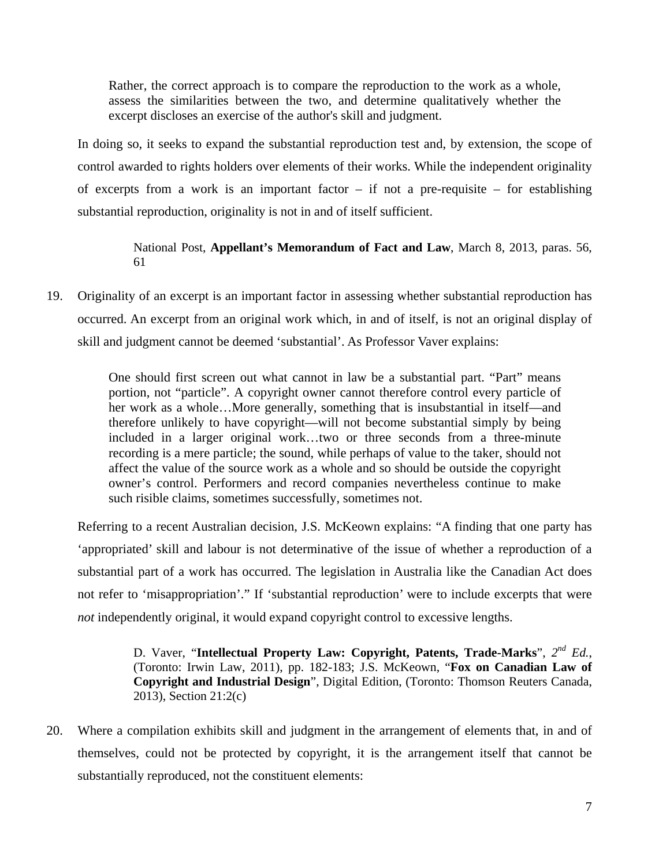Rather, the correct approach is to compare the reproduction to the work as a whole, assess the similarities between the two, and determine qualitatively whether the excerpt discloses an exercise of the author's skill and judgment.

In doing so, it seeks to expand the substantial reproduction test and, by extension, the scope of control awarded to rights holders over elements of their works. While the independent originality of excerpts from a work is an important factor – if not a pre-requisite – for establishing substantial reproduction, originality is not in and of itself sufficient.

> National Post, **Appellant's Memorandum of Fact and Law**, March 8, 2013, paras. 56, 61

19. Originality of an excerpt is an important factor in assessing whether substantial reproduction has occurred. An excerpt from an original work which, in and of itself, is not an original display of skill and judgment cannot be deemed 'substantial'. As Professor Vaver explains:

> One should first screen out what cannot in law be a substantial part. "Part" means portion, not "particle". A copyright owner cannot therefore control every particle of her work as a whole…More generally, something that is insubstantial in itself—and therefore unlikely to have copyright—will not become substantial simply by being included in a larger original work…two or three seconds from a three-minute recording is a mere particle; the sound, while perhaps of value to the taker, should not affect the value of the source work as a whole and so should be outside the copyright owner's control. Performers and record companies nevertheless continue to make such risible claims, sometimes successfully, sometimes not.

Referring to a recent Australian decision, J.S. McKeown explains: "A finding that one party has 'appropriated' skill and labour is not determinative of the issue of whether a reproduction of a substantial part of a work has occurred. The legislation in Australia like the Canadian Act does not refer to 'misappropriation'." If 'substantial reproduction' were to include excerpts that were *not* independently original, it would expand copyright control to excessive lengths.

> D. Vaver, "**Intellectual Property Law: Copyright, Patents, Trade-Marks**", *2nd Ed.*, (Toronto: Irwin Law, 2011), pp. 182-183; J.S. McKeown, "**Fox on Canadian Law of Copyright and Industrial Design**", Digital Edition, (Toronto: Thomson Reuters Canada, 2013), Section 21:2(c)

20. Where a compilation exhibits skill and judgment in the arrangement of elements that, in and of themselves, could not be protected by copyright, it is the arrangement itself that cannot be substantially reproduced, not the constituent elements: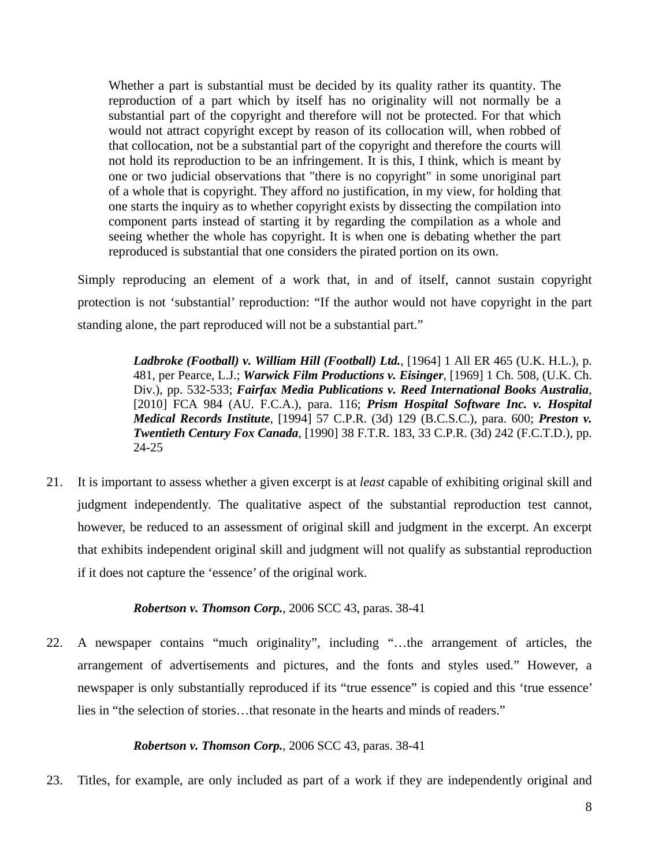Whether a part is substantial must be decided by its quality rather its quantity. The reproduction of a part which by itself has no originality will not normally be a substantial part of the copyright and therefore will not be protected. For that which would not attract copyright except by reason of its collocation will, when robbed of that collocation, not be a substantial part of the copyright and therefore the courts will not hold its reproduction to be an infringement. It is this, I think, which is meant by one or two judicial observations that "there is no copyright" in some unoriginal part of a whole that is copyright. They afford no justification, in my view, for holding that one starts the inquiry as to whether copyright exists by dissecting the compilation into component parts instead of starting it by regarding the compilation as a whole and seeing whether the whole has copyright. It is when one is debating whether the part reproduced is substantial that one considers the pirated portion on its own.

Simply reproducing an element of a work that, in and of itself, cannot sustain copyright protection is not 'substantial' reproduction: "If the author would not have copyright in the part standing alone, the part reproduced will not be a substantial part."

> *Ladbroke (Football) v. William Hill (Football) Ltd.*, [1964] 1 All ER 465 (U.K. H.L.), p. 481, per Pearce, L.J.; *Warwick Film Productions v. Eisinger*, [1969] 1 Ch. 508, (U.K. Ch. Div.), pp. 532-533; *Fairfax Media Publications v. Reed International Books Australia*, [2010] FCA 984 (AU. F.C.A.), para. 116; *Prism Hospital Software Inc. v. Hospital Medical Records Institute*, [1994] 57 C.P.R. (3d) 129 (B.C.S.C.), para. 600; *Preston v. Twentieth Century Fox Canada*, [1990] 38 F.T.R. 183, 33 C.P.R. (3d) 242 (F.C.T.D.), pp. 24-25

21. It is important to assess whether a given excerpt is at *least* capable of exhibiting original skill and judgment independently. The qualitative aspect of the substantial reproduction test cannot, however, be reduced to an assessment of original skill and judgment in the excerpt. An excerpt that exhibits independent original skill and judgment will not qualify as substantial reproduction if it does not capture the 'essence' of the original work.

#### *Robertson v. Thomson Corp.*, 2006 SCC 43, paras. 38-41

22. A newspaper contains "much originality", including "…the arrangement of articles, the arrangement of advertisements and pictures, and the fonts and styles used." However, a newspaper is only substantially reproduced if its "true essence" is copied and this 'true essence' lies in "the selection of stories…that resonate in the hearts and minds of readers."

#### *Robertson v. Thomson Corp.*, 2006 SCC 43, paras. 38-41

23. Titles, for example, are only included as part of a work if they are independently original and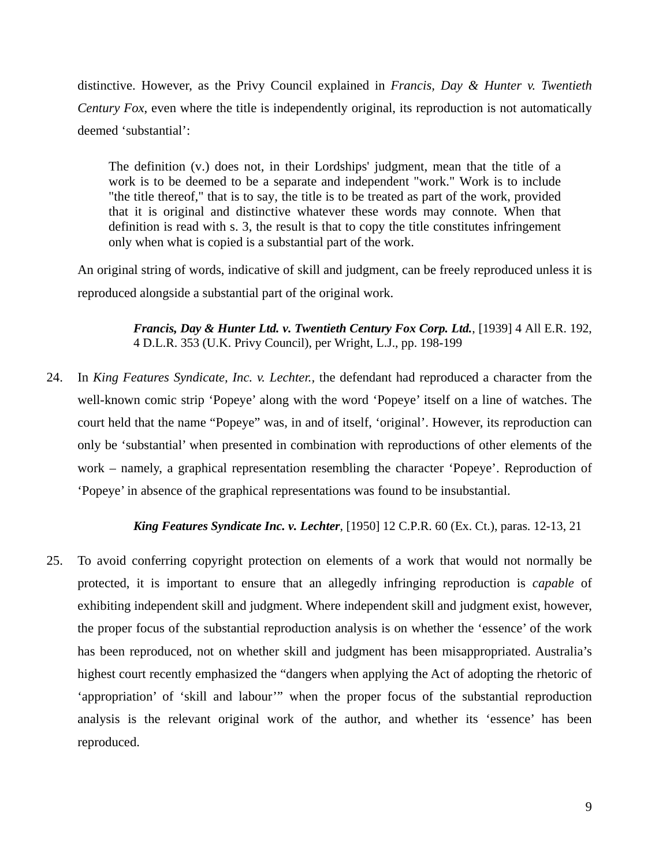distinctive. However, as the Privy Council explained in *Francis, Day & Hunter v. Twentieth Century Fox*, even where the title is independently original, its reproduction is not automatically deemed 'substantial':

The definition (v.) does not, in their Lordships' judgment, mean that the title of a work is to be deemed to be a separate and independent "work." Work is to include "the title thereof," that is to say, the title is to be treated as part of the work, provided that it is original and distinctive whatever these words may connote. When that definition is read with s. 3, the result is that to copy the title constitutes infringement only when what is copied is a substantial part of the work.

An original string of words, indicative of skill and judgment, can be freely reproduced unless it is reproduced alongside a substantial part of the original work.

> *Francis, Day & Hunter Ltd. v. Twentieth Century Fox Corp. Ltd.*, [1939] 4 All E.R. 192, 4 D.L.R. 353 (U.K. Privy Council), per Wright, L.J., pp. 198-199

24. In *King Features Syndicate, Inc. v. Lechter.,* the defendant had reproduced a character from the well-known comic strip 'Popeye' along with the word 'Popeye' itself on a line of watches. The court held that the name "Popeye" was, in and of itself, 'original'. However, its reproduction can only be 'substantial' when presented in combination with reproductions of other elements of the work – namely, a graphical representation resembling the character 'Popeye'. Reproduction of 'Popeye' in absence of the graphical representations was found to be insubstantial.

*King Features Syndicate Inc. v. Lechter*, [1950] 12 C.P.R. 60 (Ex. Ct.), paras. 12-13, 21

25. To avoid conferring copyright protection on elements of a work that would not normally be protected, it is important to ensure that an allegedly infringing reproduction is *capable* of exhibiting independent skill and judgment. Where independent skill and judgment exist, however, the proper focus of the substantial reproduction analysis is on whether the 'essence' of the work has been reproduced, not on whether skill and judgment has been misappropriated. Australia's highest court recently emphasized the "dangers when applying the Act of adopting the rhetoric of 'appropriation' of 'skill and labour'" when the proper focus of the substantial reproduction analysis is the relevant original work of the author, and whether its 'essence' has been reproduced.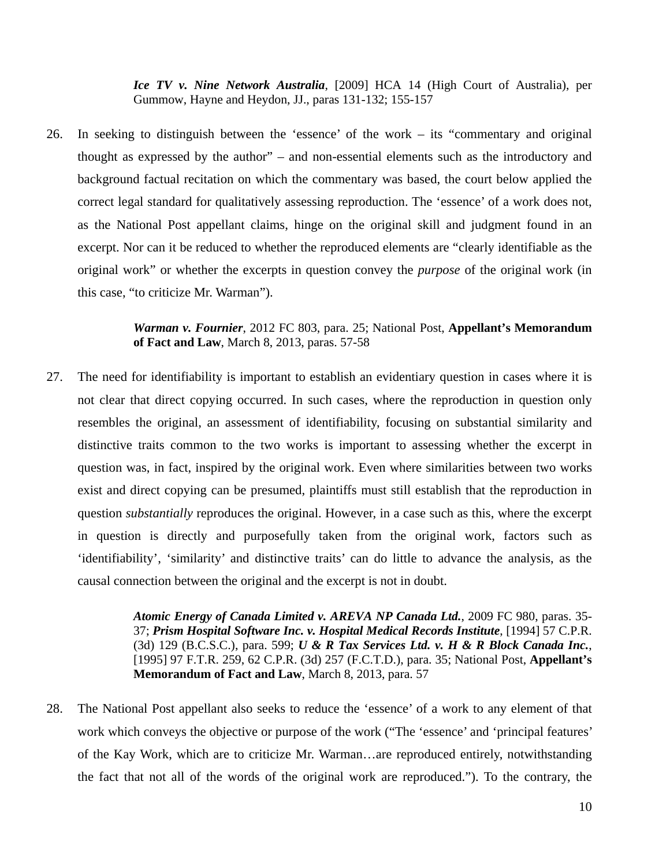*Ice TV v. Nine Network Australia*, [2009] HCA 14 (High Court of Australia), per Gummow, Hayne and Heydon, JJ., paras 131-132; 155-157

26. In seeking to distinguish between the 'essence' of the work – its "commentary and original thought as expressed by the author" – and non-essential elements such as the introductory and background factual recitation on which the commentary was based, the court below applied the correct legal standard for qualitatively assessing reproduction. The 'essence' of a work does not, as the National Post appellant claims, hinge on the original skill and judgment found in an excerpt. Nor can it be reduced to whether the reproduced elements are "clearly identifiable as the original work" or whether the excerpts in question convey the *purpose* of the original work (in this case, "to criticize Mr. Warman").

#### *Warman v. Fournier*, 2012 FC 803, para. 25; National Post, **Appellant's Memorandum of Fact and Law**, March 8, 2013, paras. 57-58

27. The need for identifiability is important to establish an evidentiary question in cases where it is not clear that direct copying occurred. In such cases, where the reproduction in question only resembles the original, an assessment of identifiability, focusing on substantial similarity and distinctive traits common to the two works is important to assessing whether the excerpt in question was, in fact, inspired by the original work. Even where similarities between two works exist and direct copying can be presumed, plaintiffs must still establish that the reproduction in question *substantially* reproduces the original. However, in a case such as this, where the excerpt in question is directly and purposefully taken from the original work, factors such as 'identifiability', 'similarity' and distinctive traits' can do little to advance the analysis, as the causal connection between the original and the excerpt is not in doubt.

> *Atomic Energy of Canada Limited v. AREVA NP Canada Ltd.*, 2009 FC 980, paras. 35- 37; *Prism Hospital Software Inc. v. Hospital Medical Records Institute*, [1994] 57 C.P.R. (3d) 129 (B.C.S.C.), para. 599; *U & R Tax Services Ltd. v. H & R Block Canada Inc.*, [1995] 97 F.T.R. 259, 62 C.P.R. (3d) 257 (F.C.T.D.), para. 35; National Post, **Appellant's Memorandum of Fact and Law**, March 8, 2013, para. 57

28. The National Post appellant also seeks to reduce the 'essence' of a work to any element of that work which conveys the objective or purpose of the work ("The 'essence' and 'principal features' of the Kay Work, which are to criticize Mr. Warman…are reproduced entirely, notwithstanding the fact that not all of the words of the original work are reproduced."). To the contrary, the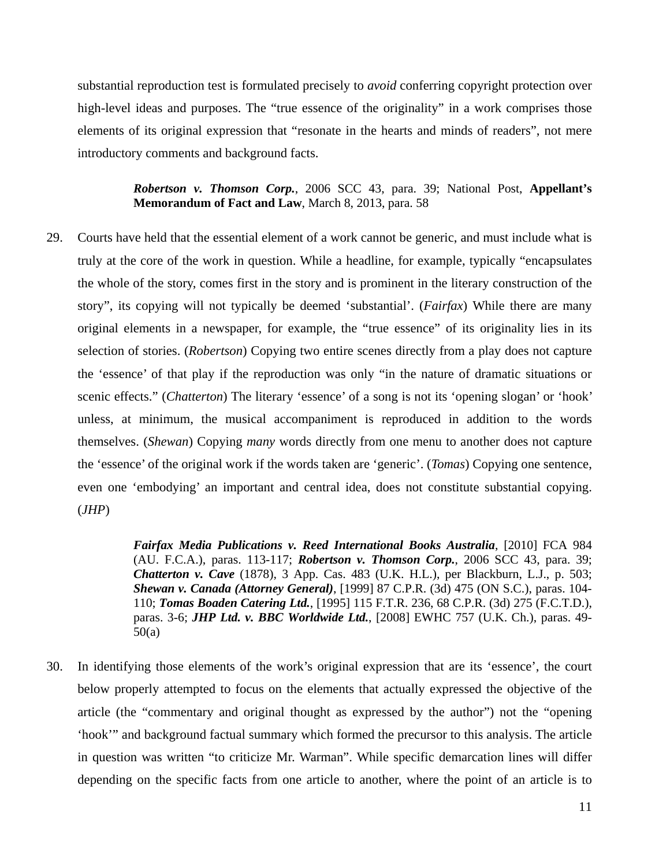substantial reproduction test is formulated precisely to *avoid* conferring copyright protection over high-level ideas and purposes. The "true essence of the originality" in a work comprises those elements of its original expression that "resonate in the hearts and minds of readers", not mere introductory comments and background facts.

> *Robertson v. Thomson Corp.*, 2006 SCC 43, para. 39; National Post, **Appellant's Memorandum of Fact and Law**, March 8, 2013, para. 58

29. Courts have held that the essential element of a work cannot be generic, and must include what is truly at the core of the work in question. While a headline, for example, typically "encapsulates the whole of the story, comes first in the story and is prominent in the literary construction of the story", its copying will not typically be deemed 'substantial'. (*Fairfax*) While there are many original elements in a newspaper, for example, the "true essence" of its originality lies in its selection of stories. (*Robertson*) Copying two entire scenes directly from a play does not capture the 'essence' of that play if the reproduction was only "in the nature of dramatic situations or scenic effects." (*Chatterton*) The literary 'essence' of a song is not its 'opening slogan' or 'hook' unless, at minimum, the musical accompaniment is reproduced in addition to the words themselves. (*Shewan*) Copying *many* words directly from one menu to another does not capture the 'essence' of the original work if the words taken are 'generic'. (*Tomas*) Copying one sentence, even one 'embodying' an important and central idea, does not constitute substantial copying. (*JHP*)

> *Fairfax Media Publications v. Reed International Books Australia*, [2010] FCA 984 (AU. F.C.A.), paras. 113-117; *Robertson v. Thomson Corp.*, 2006 SCC 43, para. 39; *Chatterton v. Cave* (1878), 3 App. Cas. 483 (U.K. H.L.), per Blackburn, L.J., p. 503; *Shewan v. Canada (Attorney General)*, [1999] 87 C.P.R. (3d) 475 (ON S.C.), paras. 104- 110; *Tomas Boaden Catering Ltd.*, [1995] 115 F.T.R. 236, 68 C.P.R. (3d) 275 (F.C.T.D.), paras. 3-6; *JHP Ltd. v. BBC Worldwide Ltd.*, [2008] EWHC 757 (U.K. Ch.), paras. 49- 50(a)

30. In identifying those elements of the work's original expression that are its 'essence', the court below properly attempted to focus on the elements that actually expressed the objective of the article (the "commentary and original thought as expressed by the author") not the "opening 'hook'" and background factual summary which formed the precursor to this analysis. The article in question was written "to criticize Mr. Warman". While specific demarcation lines will differ depending on the specific facts from one article to another, where the point of an article is to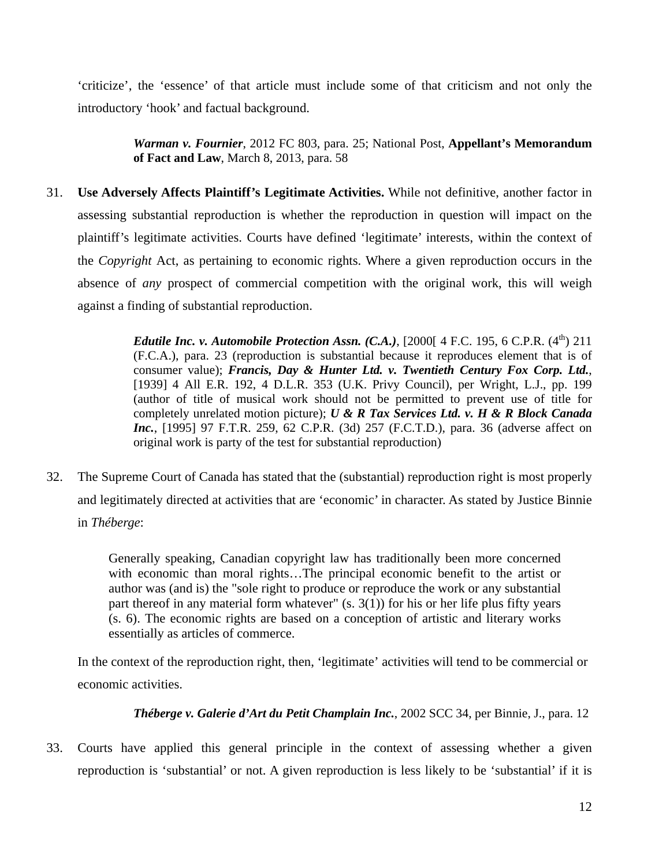'criticize', the 'essence' of that article must include some of that criticism and not only the introductory 'hook' and factual background.

> *Warman v. Fournier*, 2012 FC 803, para. 25; National Post, **Appellant's Memorandum of Fact and Law**, March 8, 2013, para. 58

31. **Use Adversely Affects Plaintiff's Legitimate Activities.** While not definitive, another factor in assessing substantial reproduction is whether the reproduction in question will impact on the plaintiff's legitimate activities. Courts have defined 'legitimate' interests, within the context of the *Copyright* Act, as pertaining to economic rights. Where a given reproduction occurs in the absence of *any* prospect of commercial competition with the original work, this will weigh against a finding of substantial reproduction.

> *Edutile Inc. v. Automobile Protection Assn. (C.A.)*, [2000] 4 F.C. 195, 6 C.P.R. (4<sup>th</sup>) 211 (F.C.A.), para. 23 (reproduction is substantial because it reproduces element that is of consumer value); *Francis, Day & Hunter Ltd. v. Twentieth Century Fox Corp. Ltd.*, [1939] 4 All E.R. 192, 4 D.L.R. 353 (U.K. Privy Council), per Wright, L.J., pp. 199 (author of title of musical work should not be permitted to prevent use of title for completely unrelated motion picture); *U & R Tax Services Ltd. v. H & R Block Canada Inc.*, [1995] 97 F.T.R. 259, 62 C.P.R. (3d) 257 (F.C.T.D.), para. 36 (adverse affect on original work is party of the test for substantial reproduction)

32. The Supreme Court of Canada has stated that the (substantial) reproduction right is most properly and legitimately directed at activities that are 'economic' in character. As stated by Justice Binnie in *Théberge*:

> Generally speaking, Canadian copyright law has traditionally been more concerned with economic than moral rights...The principal economic benefit to the artist or author was (and is) the "sole right to produce or reproduce the work or any substantial part thereof in any material form whatever"  $(s, 3(1))$  for his or her life plus fifty years (s. 6). The economic rights are based on a conception of artistic and literary works essentially as articles of commerce.

In the context of the reproduction right, then, 'legitimate' activities will tend to be commercial or economic activities.

*Théberge v. Galerie d'Art du Petit Champlain Inc.*, 2002 SCC 34, per Binnie, J., para. 12

33. Courts have applied this general principle in the context of assessing whether a given reproduction is 'substantial' or not. A given reproduction is less likely to be 'substantial' if it is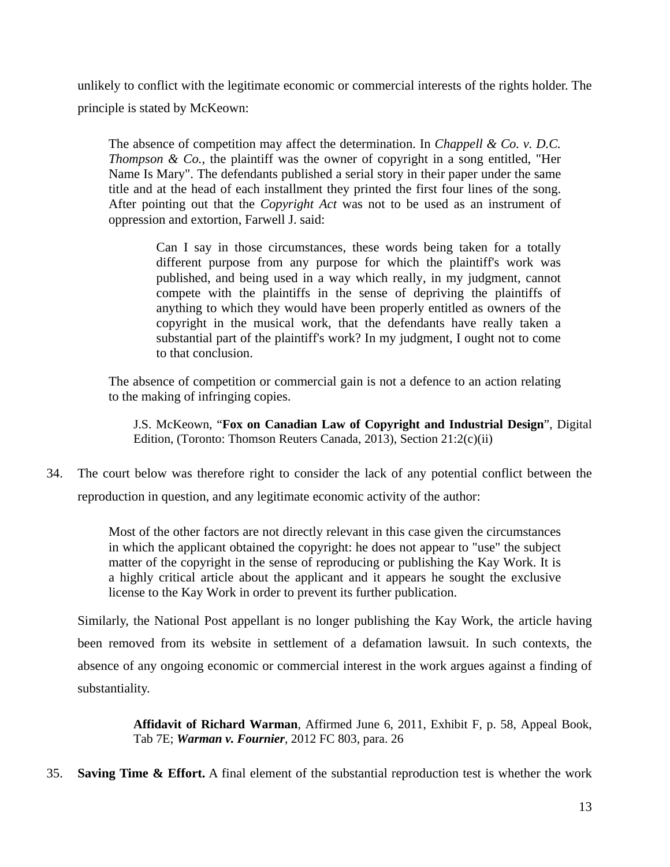unlikely to conflict with the legitimate economic or commercial interests of the rights holder. The principle is stated by McKeown:

The absence of competition may affect the determination. In *Chappell & Co. v. D.C. Thompson & Co.*, the plaintiff was the owner of copyright in a song entitled, "Her Name Is Mary". The defendants published a serial story in their paper under the same title and at the head of each installment they printed the first four lines of the song. After pointing out that the *Copyright Act* was not to be used as an instrument of oppression and extortion, Farwell J. said:

> Can I say in those circumstances, these words being taken for a totally different purpose from any purpose for which the plaintiff's work was published, and being used in a way which really, in my judgment, cannot compete with the plaintiffs in the sense of depriving the plaintiffs of anything to which they would have been properly entitled as owners of the copyright in the musical work, that the defendants have really taken a substantial part of the plaintiff's work? In my judgment, I ought not to come to that conclusion.

The absence of competition or commercial gain is not a defence to an action relating to the making of infringing copies.

J.S. McKeown, "**Fox on Canadian Law of Copyright and Industrial Design**", Digital Edition, (Toronto: Thomson Reuters Canada, 2013), Section 21:2(c)(ii)

34. The court below was therefore right to consider the lack of any potential conflict between the reproduction in question, and any legitimate economic activity of the author:

> Most of the other factors are not directly relevant in this case given the circumstances in which the applicant obtained the copyright: he does not appear to "use" the subject matter of the copyright in the sense of reproducing or publishing the Kay Work. It is a highly critical article about the applicant and it appears he sought the exclusive license to the Kay Work in order to prevent its further publication.

Similarly, the National Post appellant is no longer publishing the Kay Work, the article having been removed from its website in settlement of a defamation lawsuit. In such contexts, the absence of any ongoing economic or commercial interest in the work argues against a finding of substantiality.

> **Affidavit of Richard Warman**, Affirmed June 6, 2011, Exhibit F, p. 58, Appeal Book, Tab 7E; *Warman v. Fournier*, 2012 FC 803, para. 26

35. **Saving Time & Effort.** A final element of the substantial reproduction test is whether the work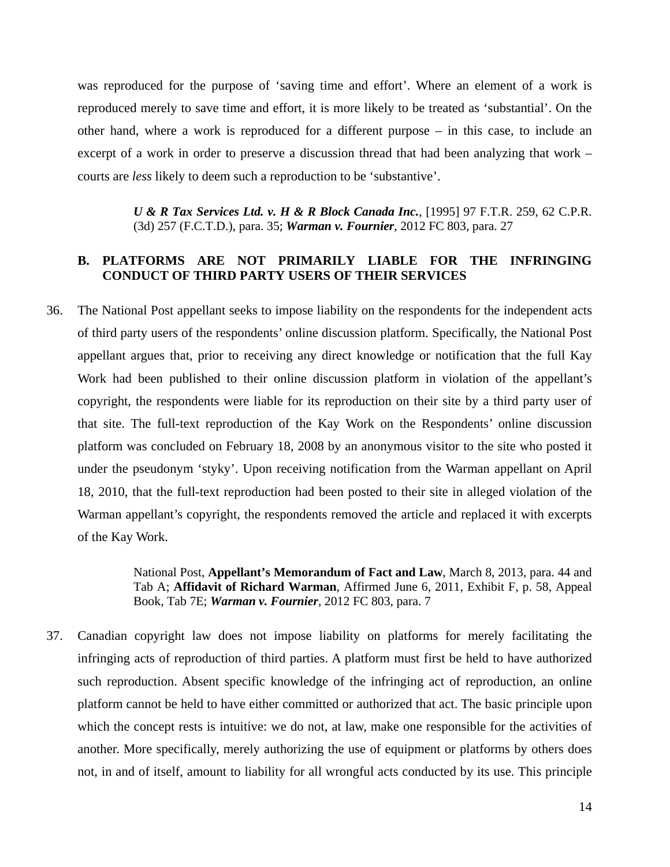was reproduced for the purpose of 'saving time and effort'. Where an element of a work is reproduced merely to save time and effort, it is more likely to be treated as 'substantial'. On the other hand, where a work is reproduced for a different purpose – in this case, to include an excerpt of a work in order to preserve a discussion thread that had been analyzing that work – courts are *less* likely to deem such a reproduction to be 'substantive'.

> *U & R Tax Services Ltd. v. H & R Block Canada Inc.*, [1995] 97 F.T.R. 259, 62 C.P.R. (3d) 257 (F.C.T.D.), para. 35; *Warman v. Fournier*, 2012 FC 803, para. 27

#### **B. PLATFORMS ARE NOT PRIMARILY LIABLE FOR THE INFRINGING CONDUCT OF THIRD PARTY USERS OF THEIR SERVICES**

36. The National Post appellant seeks to impose liability on the respondents for the independent acts of third party users of the respondents' online discussion platform. Specifically, the National Post appellant argues that, prior to receiving any direct knowledge or notification that the full Kay Work had been published to their online discussion platform in violation of the appellant's copyright, the respondents were liable for its reproduction on their site by a third party user of that site. The full-text reproduction of the Kay Work on the Respondents' online discussion platform was concluded on February 18, 2008 by an anonymous visitor to the site who posted it under the pseudonym 'styky'. Upon receiving notification from the Warman appellant on April 18, 2010, that the full-text reproduction had been posted to their site in alleged violation of the Warman appellant's copyright, the respondents removed the article and replaced it with excerpts of the Kay Work.

> National Post, **Appellant's Memorandum of Fact and Law**, March 8, 2013, para. 44 and Tab A; **Affidavit of Richard Warman**, Affirmed June 6, 2011, Exhibit F, p. 58, Appeal Book, Tab 7E; *Warman v. Fournier*, 2012 FC 803, para. 7

37. Canadian copyright law does not impose liability on platforms for merely facilitating the infringing acts of reproduction of third parties. A platform must first be held to have authorized such reproduction. Absent specific knowledge of the infringing act of reproduction, an online platform cannot be held to have either committed or authorized that act. The basic principle upon which the concept rests is intuitive: we do not, at law, make one responsible for the activities of another. More specifically, merely authorizing the use of equipment or platforms by others does not, in and of itself, amount to liability for all wrongful acts conducted by its use. This principle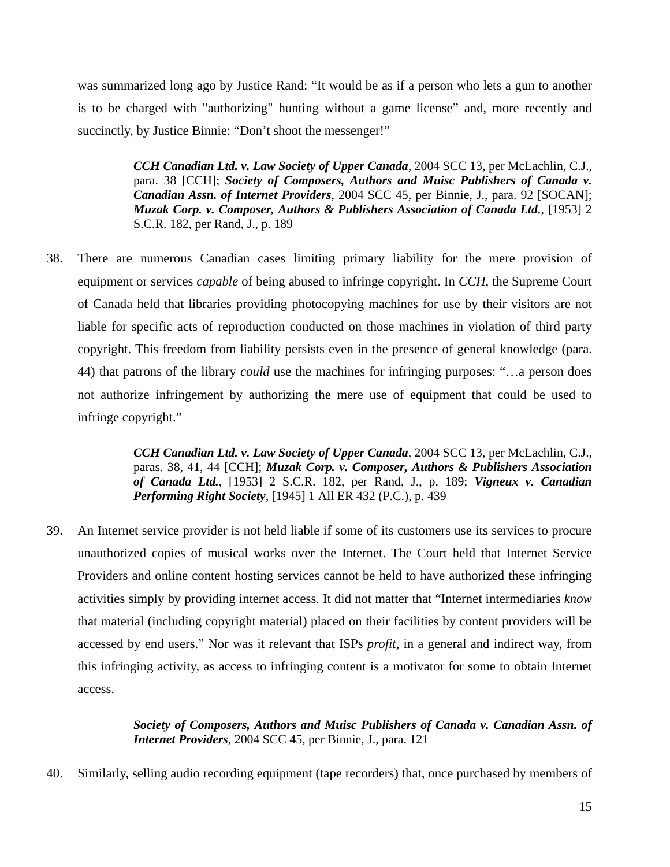was summarized long ago by Justice Rand: "It would be as if a person who lets a gun to another is to be charged with "authorizing" hunting without a game license" and, more recently and succinctly, by Justice Binnie: "Don't shoot the messenger!"

> *CCH Canadian Ltd. v. Law Society of Upper Canada*, 2004 SCC 13, per McLachlin, C.J., para. 38 [CCH]; *Society of Composers, Authors and Muisc Publishers of Canada v. Canadian Assn. of Internet Providers*, 2004 SCC 45, per Binnie, J., para. 92 [SOCAN]; *Muzak Corp. v. Composer, Authors & Publishers Association of Canada Ltd.*, [1953] 2 S.C.R. 182, per Rand, J., p. 189

38. There are numerous Canadian cases limiting primary liability for the mere provision of equipment or services *capable* of being abused to infringe copyright. In *CCH*, the Supreme Court of Canada held that libraries providing photocopying machines for use by their visitors are not liable for specific acts of reproduction conducted on those machines in violation of third party copyright. This freedom from liability persists even in the presence of general knowledge (para. 44) that patrons of the library *could* use the machines for infringing purposes: "…a person does not authorize infringement by authorizing the mere use of equipment that could be used to infringe copyright."

> *CCH Canadian Ltd. v. Law Society of Upper Canada*, 2004 SCC 13, per McLachlin, C.J., paras. 38, 41, 44 [CCH]; *Muzak Corp. v. Composer, Authors & Publishers Association of Canada Ltd.*, [1953] 2 S.C.R. 182, per Rand, J., p. 189; *Vigneux v. Canadian Performing Right Society*, [1945] 1 All ER 432 (P.C.), p. 439

39. An Internet service provider is not held liable if some of its customers use its services to procure unauthorized copies of musical works over the Internet. The Court held that Internet Service Providers and online content hosting services cannot be held to have authorized these infringing activities simply by providing internet access. It did not matter that "Internet intermediaries *know* that material (including copyright material) placed on their facilities by content providers will be accessed by end users." Nor was it relevant that ISPs *profit,* in a general and indirect way, from this infringing activity, as access to infringing content is a motivator for some to obtain Internet access.

> *Society of Composers, Authors and Muisc Publishers of Canada v. Canadian Assn. of Internet Providers*, 2004 SCC 45, per Binnie, J., para. 121

40. Similarly, selling audio recording equipment (tape recorders) that, once purchased by members of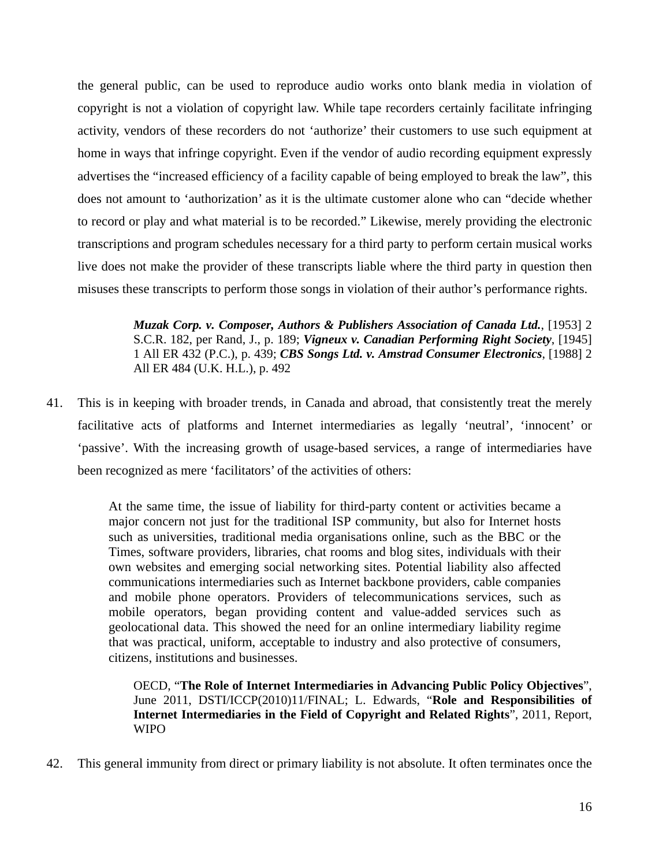the general public, can be used to reproduce audio works onto blank media in violation of copyright is not a violation of copyright law. While tape recorders certainly facilitate infringing activity, vendors of these recorders do not 'authorize' their customers to use such equipment at home in ways that infringe copyright. Even if the vendor of audio recording equipment expressly advertises the "increased efficiency of a facility capable of being employed to break the law", this does not amount to 'authorization' as it is the ultimate customer alone who can "decide whether to record or play and what material is to be recorded." Likewise, merely providing the electronic transcriptions and program schedules necessary for a third party to perform certain musical works live does not make the provider of these transcripts liable where the third party in question then misuses these transcripts to perform those songs in violation of their author's performance rights.

> *Muzak Corp. v. Composer, Authors & Publishers Association of Canada Ltd.*, [1953] 2 S.C.R. 182, per Rand, J., p. 189; *Vigneux v. Canadian Performing Right Society*, [1945] 1 All ER 432 (P.C.), p. 439; *CBS Songs Ltd. v. Amstrad Consumer Electronics*, [1988] 2 All ER 484 (U.K. H.L.), p. 492

41. This is in keeping with broader trends, in Canada and abroad, that consistently treat the merely facilitative acts of platforms and Internet intermediaries as legally 'neutral', 'innocent' or 'passive'. With the increasing growth of usage-based services, a range of intermediaries have been recognized as mere 'facilitators' of the activities of others:

> At the same time, the issue of liability for third-party content or activities became a major concern not just for the traditional ISP community, but also for Internet hosts such as universities, traditional media organisations online, such as the BBC or the Times, software providers, libraries, chat rooms and blog sites, individuals with their own websites and emerging social networking sites. Potential liability also affected communications intermediaries such as Internet backbone providers, cable companies and mobile phone operators. Providers of telecommunications services, such as mobile operators, began providing content and value-added services such as geolocational data. This showed the need for an online intermediary liability regime that was practical, uniform, acceptable to industry and also protective of consumers, citizens, institutions and businesses.

OECD, "**The Role of Internet Intermediaries in Advancing Public Policy Objectives**", June 2011, DSTI/ICCP(2010)11/FINAL; L. Edwards, "**Role and Responsibilities of Internet Intermediaries in the Field of Copyright and Related Rights**", 2011, Report, WIPO

42. This general immunity from direct or primary liability is not absolute. It often terminates once the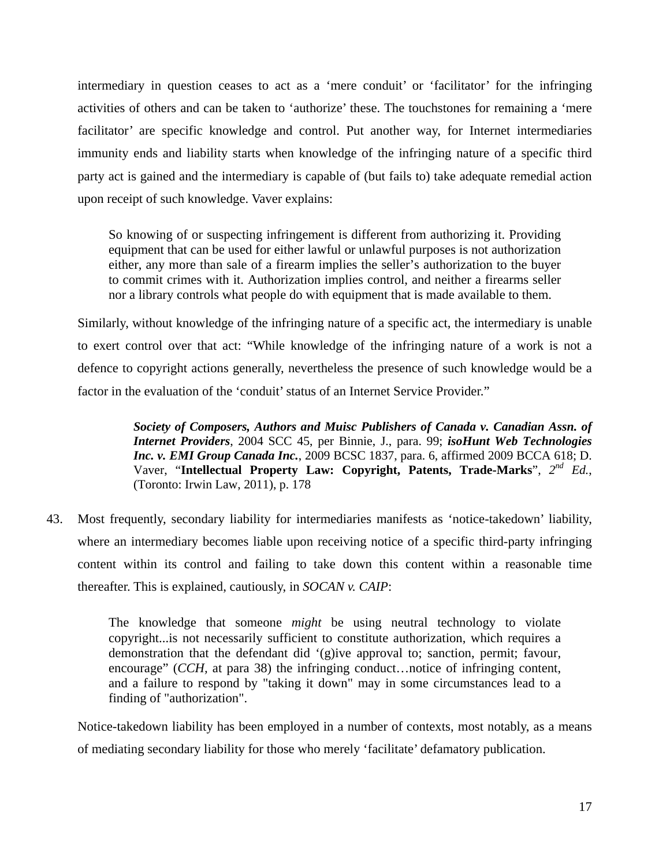intermediary in question ceases to act as a 'mere conduit' or 'facilitator' for the infringing activities of others and can be taken to 'authorize' these. The touchstones for remaining a 'mere facilitator' are specific knowledge and control. Put another way, for Internet intermediaries immunity ends and liability starts when knowledge of the infringing nature of a specific third party act is gained and the intermediary is capable of (but fails to) take adequate remedial action upon receipt of such knowledge. Vaver explains:

So knowing of or suspecting infringement is different from authorizing it. Providing equipment that can be used for either lawful or unlawful purposes is not authorization either, any more than sale of a firearm implies the seller's authorization to the buyer to commit crimes with it. Authorization implies control, and neither a firearms seller nor a library controls what people do with equipment that is made available to them.

Similarly, without knowledge of the infringing nature of a specific act, the intermediary is unable to exert control over that act: "While knowledge of the infringing nature of a work is not a defence to copyright actions generally, nevertheless the presence of such knowledge would be a factor in the evaluation of the 'conduit' status of an Internet Service Provider."

> *Society of Composers, Authors and Muisc Publishers of Canada v. Canadian Assn. of Internet Providers*, 2004 SCC 45, per Binnie, J., para. 99; *isoHunt Web Technologies Inc. v. EMI Group Canada Inc.*, 2009 BCSC 1837, para. 6, affirmed 2009 BCCA 618; D. Vaver, "**Intellectual Property Law: Copyright, Patents, Trade-Marks**", *2nd Ed.*, (Toronto: Irwin Law, 2011), p. 178

43. Most frequently, secondary liability for intermediaries manifests as 'notice-takedown' liability, where an intermediary becomes liable upon receiving notice of a specific third-party infringing content within its control and failing to take down this content within a reasonable time thereafter. This is explained, cautiously, in *SOCAN v. CAIP*:

> The knowledge that someone *might* be using neutral technology to violate copyright...is not necessarily sufficient to constitute authorization, which requires a demonstration that the defendant did '(g)ive approval to; sanction, permit; favour, encourage" (*CCH*, at para 38) the infringing conduct...notice of infringing content, and a failure to respond by "taking it down" may in some circumstances lead to a finding of "authorization".

Notice-takedown liability has been employed in a number of contexts, most notably, as a means of mediating secondary liability for those who merely 'facilitate' defamatory publication.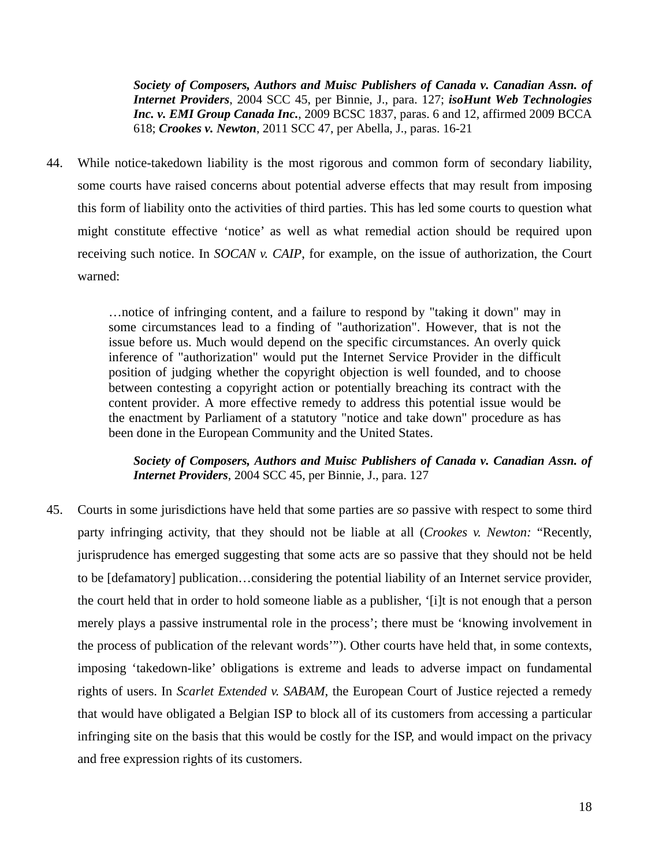*Society of Composers, Authors and Muisc Publishers of Canada v. Canadian Assn. of Internet Providers*, 2004 SCC 45, per Binnie, J., para. 127; *isoHunt Web Technologies Inc. v. EMI Group Canada Inc.*, 2009 BCSC 1837, paras. 6 and 12, affirmed 2009 BCCA 618; *Crookes v. Newton*, 2011 SCC 47, per Abella, J., paras. 16-21

44. While notice-takedown liability is the most rigorous and common form of secondary liability, some courts have raised concerns about potential adverse effects that may result from imposing this form of liability onto the activities of third parties. This has led some courts to question what might constitute effective 'notice' as well as what remedial action should be required upon receiving such notice. In *SOCAN v. CAIP*, for example, on the issue of authorization, the Court warned:

> …notice of infringing content, and a failure to respond by "taking it down" may in some circumstances lead to a finding of "authorization". However, that is not the issue before us. Much would depend on the specific circumstances. An overly quick inference of "authorization" would put the Internet Service Provider in the difficult position of judging whether the copyright objection is well founded, and to choose between contesting a copyright action or potentially breaching its contract with the content provider. A more effective remedy to address this potential issue would be the enactment by Parliament of a statutory "notice and take down" procedure as has been done in the European Community and the United States.

*Society of Composers, Authors and Muisc Publishers of Canada v. Canadian Assn. of Internet Providers*, 2004 SCC 45, per Binnie, J., para. 127

45. Courts in some jurisdictions have held that some parties are *so* passive with respect to some third party infringing activity, that they should not be liable at all (*Crookes v. Newton:* "Recently, jurisprudence has emerged suggesting that some acts are so passive that they should not be held to be [defamatory] publication…considering the potential liability of an Internet service provider, the court held that in order to hold someone liable as a publisher, '[i]t is not enough that a person merely plays a passive instrumental role in the process'; there must be 'knowing involvement in the process of publication of the relevant words'"). Other courts have held that, in some contexts, imposing 'takedown-like' obligations is extreme and leads to adverse impact on fundamental rights of users. In *Scarlet Extended v. SABAM*, the European Court of Justice rejected a remedy that would have obligated a Belgian ISP to block all of its customers from accessing a particular infringing site on the basis that this would be costly for the ISP, and would impact on the privacy and free expression rights of its customers.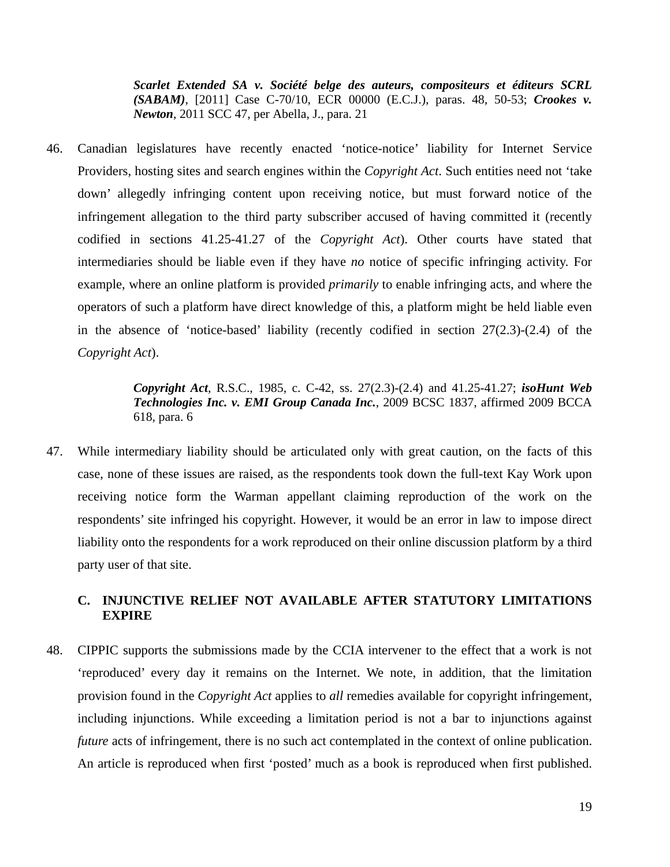*Scarlet Extended SA v. Société belge des auteurs, compositeurs et éditeurs SCRL (SABAM)*, [2011] Case C-70/10, ECR 00000 (E.C.J.), paras. 48, 50-53; *Crookes v. Newton*, 2011 SCC 47, per Abella, J., para. 21

46. Canadian legislatures have recently enacted 'notice-notice' liability for Internet Service Providers, hosting sites and search engines within the *Copyright Act*. Such entities need not 'take down' allegedly infringing content upon receiving notice, but must forward notice of the infringement allegation to the third party subscriber accused of having committed it (recently codified in sections 41.25-41.27 of the *Copyright Act*). Other courts have stated that intermediaries should be liable even if they have *no* notice of specific infringing activity. For example, where an online platform is provided *primarily* to enable infringing acts, and where the operators of such a platform have direct knowledge of this, a platform might be held liable even in the absence of 'notice-based' liability (recently codified in section 27(2.3)-(2.4) of the *Copyright Act*).

> *Copyright Act,* R.S.C., 1985, c. C-42, ss. 27(2.3)-(2.4) and 41.25-41.27; *isoHunt Web Technologies Inc. v. EMI Group Canada Inc.*, 2009 BCSC 1837, affirmed 2009 BCCA 618, para. 6

47. While intermediary liability should be articulated only with great caution, on the facts of this case, none of these issues are raised, as the respondents took down the full-text Kay Work upon receiving notice form the Warman appellant claiming reproduction of the work on the respondents' site infringed his copyright. However, it would be an error in law to impose direct liability onto the respondents for a work reproduced on their online discussion platform by a third party user of that site.

## **C. INJUNCTIVE RELIEF NOT AVAILABLE AFTER STATUTORY LIMITATIONS EXPIRE**

48. CIPPIC supports the submissions made by the CCIA intervener to the effect that a work is not 'reproduced' every day it remains on the Internet. We note, in addition, that the limitation provision found in the *Copyright Act* applies to *all* remedies available for copyright infringement, including injunctions. While exceeding a limitation period is not a bar to injunctions against *future* acts of infringement, there is no such act contemplated in the context of online publication. An article is reproduced when first 'posted' much as a book is reproduced when first published.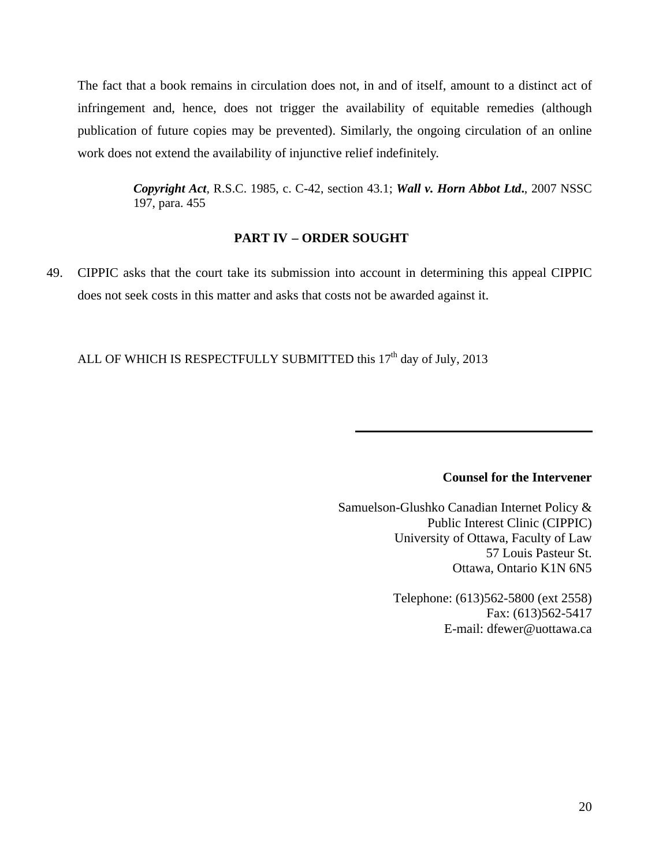The fact that a book remains in circulation does not, in and of itself, amount to a distinct act of infringement and, hence, does not trigger the availability of equitable remedies (although publication of future copies may be prevented). Similarly, the ongoing circulation of an online work does not extend the availability of injunctive relief indefinitely.

> *Copyright Act*, R.S.C. 1985, c. C-42, section 43.1; *Wall v. Horn Abbot Ltd***.**, 2007 NSSC 197, para. 455

## **PART IV – ORDER SOUGHT**

49. CIPPIC asks that the court take its submission into account in determining this appeal CIPPIC does not seek costs in this matter and asks that costs not be awarded against it.

ALL OF WHICH IS RESPECTFULLY SUBMITTED this 17<sup>th</sup> day of July, 2013

## **Counsel for the Intervener**

Samuelson-Glushko Canadian Internet Policy & Public Interest Clinic (CIPPIC) University of Ottawa, Faculty of Law 57 Louis Pasteur St. Ottawa, Ontario K1N 6N5

> Telephone: (613)562-5800 (ext 2558) Fax: (613)562-5417 E-mail: dfewer@uottawa.ca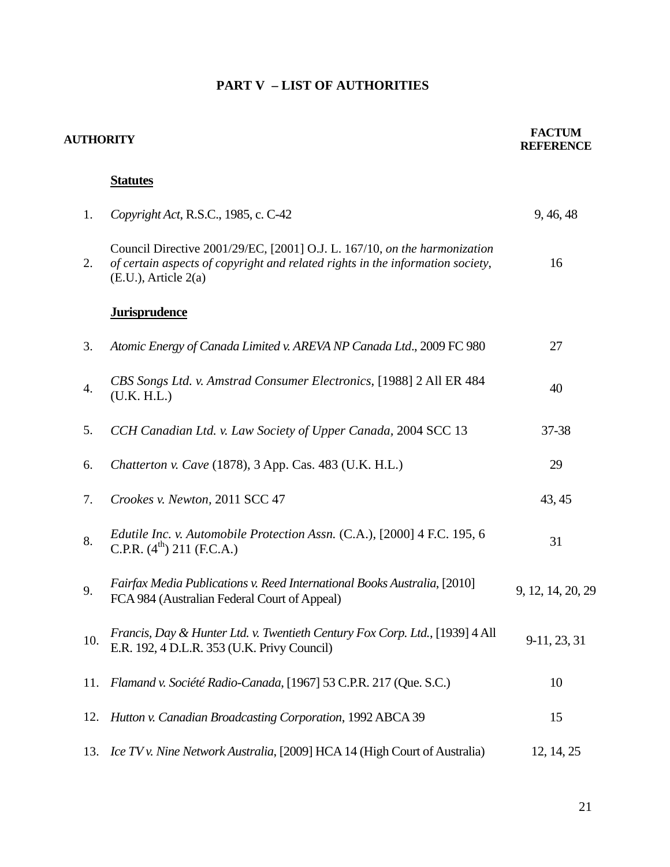# **PART V – LIST OF AUTHORITIES**

| <b>AUTHORITY</b> |                                                                                                                                                                                          | <b>FACTUM</b><br><b>REFERENCE</b> |
|------------------|------------------------------------------------------------------------------------------------------------------------------------------------------------------------------------------|-----------------------------------|
|                  | <b>Statutes</b>                                                                                                                                                                          |                                   |
| 1.               | Copyright Act, R.S.C., 1985, c. C-42                                                                                                                                                     | 9, 46, 48                         |
| 2.               | Council Directive 2001/29/EC, [2001] O.J. L. 167/10, on the harmonization<br>of certain aspects of copyright and related rights in the information society,<br>$(E.U.)$ , Article $2(a)$ | 16                                |
|                  | <b>Jurisprudence</b>                                                                                                                                                                     |                                   |
| 3.               | Atomic Energy of Canada Limited v. AREVA NP Canada Ltd., 2009 FC 980                                                                                                                     | 27                                |
| 4.               | CBS Songs Ltd. v. Amstrad Consumer Electronics, [1988] 2 All ER 484<br>(U.K. H.L.)                                                                                                       | 40                                |
| 5.               | CCH Canadian Ltd. v. Law Society of Upper Canada, 2004 SCC 13                                                                                                                            | 37-38                             |
| 6.               | Chatterton v. Cave (1878), 3 App. Cas. 483 (U.K. H.L.)                                                                                                                                   | 29                                |
| 7.               | Crookes v. Newton, 2011 SCC 47                                                                                                                                                           | 43, 45                            |
| 8.               | Edutile Inc. v. Automobile Protection Assn. (C.A.), [2000] 4 F.C. 195, 6<br>C.P.R. $(4^{th})$ 211 (F.C.A.)                                                                               | 31                                |
| 9.               | Fairfax Media Publications v. Reed International Books Australia, [2010]<br>FCA 984 (Australian Federal Court of Appeal)                                                                 | 9, 12, 14, 20, 29                 |
| 10.              | Francis, Day & Hunter Ltd. v. Twentieth Century Fox Corp. Ltd., [1939] 4 All<br>E.R. 192, 4 D.L.R. 353 (U.K. Privy Council)                                                              | 9-11, 23, 31                      |
| 11.              | Flamand v. Société Radio-Canada, [1967] 53 C.P.R. 217 (Que. S.C.)                                                                                                                        | 10                                |
| 12.              | Hutton v. Canadian Broadcasting Corporation, 1992 ABCA 39                                                                                                                                | 15                                |
| 13.              | <i>Ice TV v. Nine Network Australia</i> , [2009] HCA 14 (High Court of Australia)                                                                                                        | 12, 14, 25                        |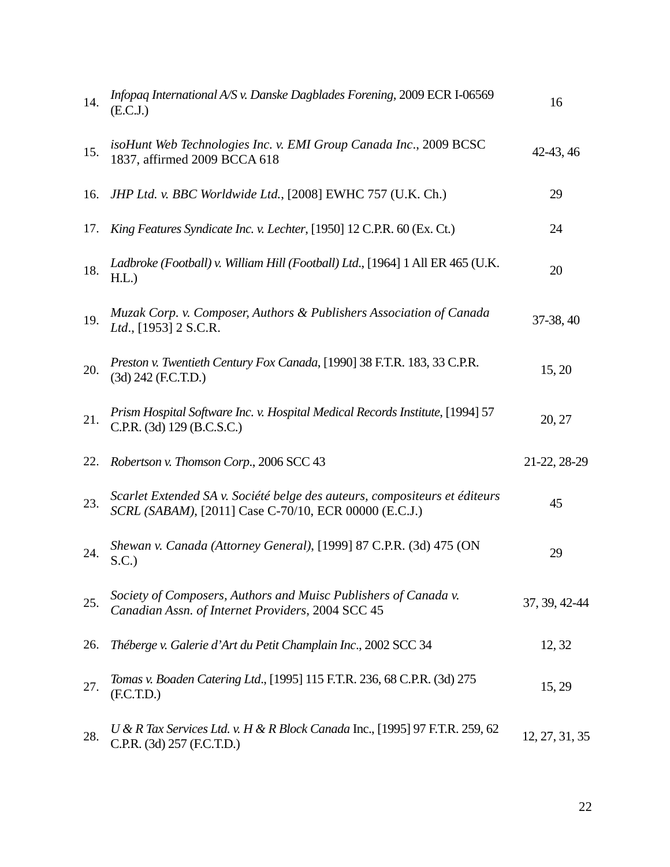| 14. | Infopaq International A/S v. Danske Dagblades Forening, 2009 ECR I-06569<br>(E.C.J.)                                                | 16             |
|-----|-------------------------------------------------------------------------------------------------------------------------------------|----------------|
| 15. | isoHunt Web Technologies Inc. v. EMI Group Canada Inc., 2009 BCSC<br>1837, affirmed 2009 BCCA 618                                   | 42-43, 46      |
| 16. | JHP Ltd. v. BBC Worldwide Ltd., [2008] EWHC 757 (U.K. Ch.)                                                                          | 29             |
| 17. | King Features Syndicate Inc. v. Lechter, [1950] 12 C.P.R. 60 (Ex. Ct.)                                                              | 24             |
| 18. | Ladbroke (Football) v. William Hill (Football) Ltd., [1964] 1 All ER 465 (U.K.<br>H.L.                                              | 20             |
| 19. | Muzak Corp. v. Composer, Authors & Publishers Association of Canada<br>Ltd., [1953] 2 S.C.R.                                        | 37-38, 40      |
| 20. | Preston v. Twentieth Century Fox Canada, [1990] 38 F.T.R. 183, 33 C.P.R.<br>$(3d) 242$ (F.C.T.D.)                                   | 15, 20         |
| 21. | Prism Hospital Software Inc. v. Hospital Medical Records Institute, [1994] 57<br>C.P.R. (3d) 129 (B.C.S.C.)                         | 20, 27         |
| 22. | Robertson v. Thomson Corp., 2006 SCC 43                                                                                             | 21-22, 28-29   |
| 23. | Scarlet Extended SA v. Société belge des auteurs, compositeurs et éditeurs<br>SCRL (SABAM), [2011] Case C-70/10, ECR 00000 (E.C.J.) | 45             |
| 24. | Shewan v. Canada (Attorney General), [1999] 87 C.P.R. (3d) 475 (ON<br>S.C.                                                          | 29             |
| 25. | Society of Composers, Authors and Muisc Publishers of Canada v.<br>Canadian Assn. of Internet Providers, 2004 SCC 45                | 37, 39, 42-44  |
| 26. | Théberge v. Galerie d'Art du Petit Champlain Inc., 2002 SCC 34                                                                      | 12, 32         |
| 27. | Tomas v. Boaden Catering Ltd., [1995] 115 F.T.R. 236, 68 C.P.R. (3d) 275<br>(F.C.T.D.)                                              | 15, 29         |
| 28. | U & R Tax Services Ltd. v. H & R Block Canada Inc., [1995] 97 F.T.R. 259, 62<br>C.P.R. (3d) 257 (F.C.T.D.)                          | 12, 27, 31, 35 |